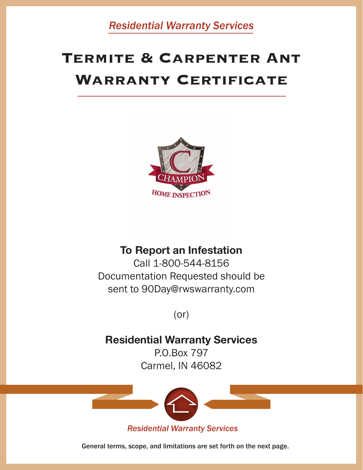**Residential Warranty Services** 

## **TERMITE & CARPENTER ANT WARRANTY CERTIFICATE**



## **To Report an Infestation**

Call 1-800-544-8156 Documentation Requested should be sent to 90Day@rwswarranty.com

 $(or)$ 

## **Residential Warranty Services**

P.O.Box 797 Carmel, IN 46082



General terms, scope, and limitations are set forth on the next page.